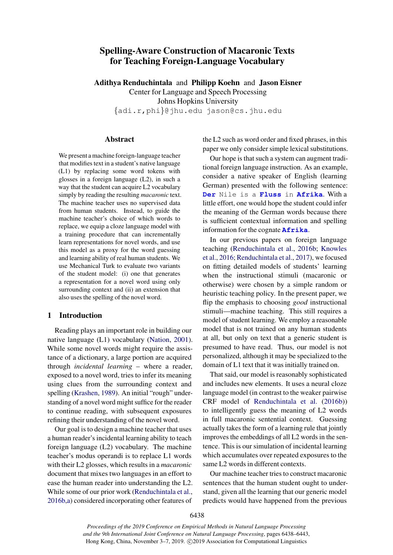# Spelling-Aware Construction of Macaronic Texts for Teaching Foreign-Language Vocabulary

Adithya Renduchintala and Philipp Koehn and Jason Eisner Center for Language and Speech Processing Johns Hopkins University *{*adi.r,phi*}*@jhu.edu jason@cs.jhu.edu

# **Abstract**

We present a machine foreign-language teacher that modifies text in a student's native language (L1) by replacing some word tokens with glosses in a foreign language (L2), in such a way that the student can acquire L2 vocabulary simply by reading the resulting *macaronic* text. The machine teacher uses no supervised data from human students. Instead, to guide the machine teacher's choice of which words to replace, we equip a cloze language model with a training procedure that can incrementally learn representations for novel words, and use this model as a proxy for the word guessing and learning ability of real human students. We use Mechanical Turk to evaluate two variants of the student model: (i) one that generates a representation for a novel word using only surrounding context and (ii) an extension that also uses the spelling of the novel word.

# 1 Introduction

Reading plays an important role in building our native language (L1) vocabulary [\(Nation,](#page-5-0) [2001\)](#page-5-0). While some novel words might require the assistance of a dictionary, a large portion are acquired through *incidental learning* – where a reader, exposed to a novel word, tries to infer its meaning using clues from the surrounding context and spelling [\(Krashen,](#page-5-1) [1989\)](#page-5-1). An initial "rough" understanding of a novel word might suffice for the reader to continue reading, with subsequent exposures refining their understanding of the novel word.

Our goal is to design a machine teacher that uses a human reader's incidental learning ability to teach foreign language (L2) vocabulary. The machine teacher's modus operandi is to replace L1 words with their L2 glosses, which results in a *macaronic* document that mixes two languages in an effort to ease the human reader into understanding the L2. While some of our prior work [\(Renduchintala et al.,](#page-5-2) [2016b,](#page-5-2)[a\)](#page-5-3) considered incorporating other features of

the L2 such as word order and fixed phrases, in this paper we only consider simple lexical substitutions.

Our hope is that such a system can augment traditional foreign language instruction. As an example, consider a native speaker of English (learning German) presented with the following sentence: **Der** Nile is a **Fluss** in **Afrika**. With a little effort, one would hope the student could infer the meaning of the German words because there is sufficient contextual information and spelling information for the cognate **Afrika**.

In our previous papers on foreign language teaching [\(Renduchintala et al.,](#page-5-2) [2016b;](#page-5-2) [Knowles](#page-5-4) [et al.,](#page-5-4) [2016;](#page-5-4) [Renduchintala et al.,](#page-5-5) [2017\)](#page-5-5), we focused on fitting detailed models of students' learning when the instructional stimuli (macaronic or otherwise) were chosen by a simple random or heuristic teaching policy. In the present paper, we flip the emphasis to choosing *good* instructional stimuli—machine teaching. This still requires a model of student learning. We employ a reasonable model that is not trained on any human students at all, but only on text that a generic student is presumed to have read. Thus, our model is not personalized, although it may be specialized to the domain of L1 text that it was initially trained on.

That said, our model is reasonably sophisticated and includes new elements. It uses a neural cloze language model (in contrast to the weaker pairwise CRF model of [Renduchintala et al.](#page-5-2) [\(2016b\)](#page-5-2)) to intelligently guess the meaning of L2 words in full macaronic sentential context. Guessing actually takes the form of a learning rule that jointly improves the embeddings of all L2 words in the sentence. This is our simulation of incidental learning which accumulates over repeated exposures to the same L2 words in different contexts.

Our machine teacher tries to construct macaronic sentences that the human student ought to understand, given all the learning that our generic model predicts would have happened from the previous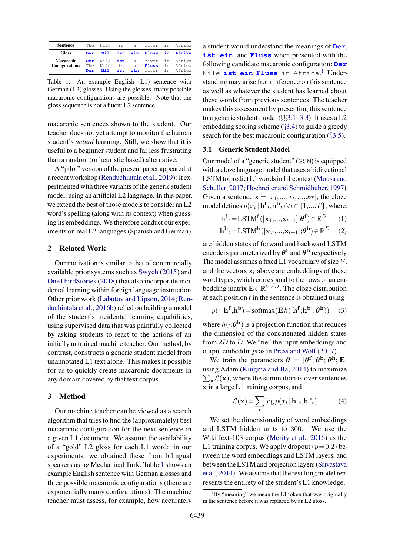<span id="page-1-0"></span>

| Sentence                           |     |             |          | The Nile is a river in Africa  |                 |
|------------------------------------|-----|-------------|----------|--------------------------------|-----------------|
| <b>Gloss</b>                       | Der |             |          | Nil ist ein Fluss in Afrika    |                 |
| Macaronic<br><b>Configurations</b> |     | The Nile is | $\alpha$ | Der Nile ist a river in Africa | Fluss in Africa |
|                                    | Der | Nil 1       |          | ist ein river in Africa        |                 |

Table 1: An example English (L1) sentence with German (L2) glosses. Using the glosses, many possible macaronic configurations are possible. Note that the gloss sequence is not a fluent L2 sentence.

macaronic sentences shown to the student. Our teacher does not yet attempt to monitor the human student's *actual* learning. Still, we show that it is useful to a beginner student and far less frustrating than a random (or heuristic based) alternative.

A "pilot" version of the present paper appeared at a recent workshop [\(Renduchintala et al.,](#page-5-6) [2019\)](#page-5-6): it experimented with three variants of the generic student model, using an artificial L2 language. In this paper, we extend the best of those models to consider an L2 word's spelling (along with its context) when guessing its embeddings. We therefore conduct our experiments on real L2 languages (Spanish and German).

# 2 Related Work

Our motivation is similar to that of commercially available prior systems such as [Swych](#page-5-7) [\(2015\)](#page-5-7) and [OneThirdStories](#page-5-8) [\(2018\)](#page-5-8) that also incorporate incidental learning within foreign language instruction. Other prior work [\(Labutov and Lipson,](#page-5-9) [2014;](#page-5-9) [Ren](#page-5-2)[duchintala et al.,](#page-5-2) [2016b\)](#page-5-2) relied on building a model of the student's incidental learning capabilities, using supervised data that was painfully collected by asking students to react to the actions of an initially untrained machine teacher. Our method, by contrast, constructs a generic student model from unannotated L1 text alone. This makes it possible for us to quickly create macaronic documents in any domain covered by that text corpus.

# 3 Method

Our machine teacher can be viewed as a search algorithm that tries to find the (approximately) best macaronic configuration for the next sentence in a given L1 document. We assume the availability of a "gold" L2 gloss for each L1 word: in our experiments, we obtained these from bilingual speakers using Mechanical Turk. Table [1](#page-1-0) shows an example English sentence with German glosses and three possible macaronic configurations (there are exponentially many configurations). The machine teacher must assess, for example, how accurately a student would understand the meanings of **Der**, **ist**, **ein**, and **Fluss** when presented with the following candidate macaronic configuration: **Der** Nile **ist ein Fluss** in Africa. [1](#page-1-1) Understanding may arise from inference on this sentence as well as whatever the student has learned about these words from previous sentences. The teacher makes this assessment by presenting this sentence to a generic student model (*§§*[3.1–](#page-1-2)[3.3\)](#page-2-0). It uses a L2 embedding scoring scheme (*§*[3.4\)](#page-2-1) to guide a greedy search for the best macaronic configuration (*§*[3.5\)](#page-3-0).

# <span id="page-1-2"></span>3.1 Generic Student Model

Our model of a "generic student" (GSM) is equipped with a cloze language model that uses a bidirectional LSTM to predict L1 words in L1 context [\(Mousa and](#page-5-10) [Schuller,](#page-5-10) [2017;](#page-5-10) [Hochreiter and Schmidhuber,](#page-5-11) [1997\)](#page-5-11). Given a sentence  $\mathbf{x} = [x_1, ..., x_t, ..., x_T]$ , the cloze model defines  $p(x_t | \mathbf{h}^{\mathbf{f}}_t, \mathbf{h}^{\mathbf{b}}_t) \forall t \in \{1, ..., T\}$ , where:

$$
\mathbf{h}^{\mathbf{f}}_{t} = \text{LSTM}^{\mathbf{f}}([\mathbf{x}_{1},...,\mathbf{x}_{t-1}];\boldsymbol{\theta}^{\mathbf{f}}) \in \mathbb{R}^{D} \qquad (1)
$$

$$
\mathbf{h}^{\mathbf{b}}{}_{t} = \text{LSTM}^{\mathbf{b}}([\mathbf{x}_{T},...,\mathbf{x}_{t+1}];\boldsymbol{\theta}^{\mathbf{b}}) \in \mathbb{R}^{D} \tag{2}
$$

are hidden states of forward and backward LSTM encoders parameterized by  $\theta^f$  and  $\theta^b$  respectively. The model assumes a fixed L1 vocabulary of size *V* , and the vectors  $x_t$  above are embeddings of these word types, which correspond to the rows of an embedding matrix  $\mathbf{E} \in \mathbb{R}^{V \times D}$ . The cloze distribution at each position *t* in the sentence is obtained using

<span id="page-1-4"></span>
$$
p(\cdot | \mathbf{h}^{\mathbf{f}}, \mathbf{h}^{\mathbf{b}}) = \text{softmax}(\mathbf{E}h([\mathbf{h}^{\mathbf{f}}; \mathbf{h}^{\mathbf{b}}]; \boldsymbol{\theta}^{\mathbf{h}})) \quad (3)
$$

where  $h(\cdot;\boldsymbol{\theta}^{\mathbf{h}})$  is a projection function that reduces the dimension of the concatenated hidden states from 2*D* to *D*. We "tie" the input embeddings and output embeddings as in [Press and Wolf](#page-5-12) [\(2017\)](#page-5-12).

We train the parameters  $\theta = [\theta^f; \theta^b; \theta^h; E]$ using Adam ( [Kingma and Ba,](#page-5-13) [2014\)](#page-5-13) to maximize  $\sum_{\mathbf{x}} \mathcal{L}(\mathbf{x})$ , where the summation is over sentences x in a large L1 training corpus, and

<span id="page-1-3"></span>
$$
\mathcal{L}(\mathbf{x}) = \sum_{t} \log p(x_t | \mathbf{h}^{\mathbf{f}}_t, \mathbf{h}^{\mathbf{b}}_t)
$$
(4)

We set the dimensionality of word embeddings and LSTM hidden units to 300. We use the WikiText-103 corpus [\(Merity et al.,](#page-5-14) [2016\)](#page-5-14) as the L1 training corpus. We apply dropout  $(p=0.2)$  between the word embeddings and LSTM layers, and between the LSTM and projection layers [\(Srivastava](#page-5-15) [et al.,](#page-5-15) [2014\)](#page-5-15). We assume that the resulting model represents the entirety of the student's L1 knowledge.

<span id="page-1-1"></span> ${}^{1}$ By "meaning" we mean the L1 token that was originally in the sentence before it was replaced by an L2 gloss.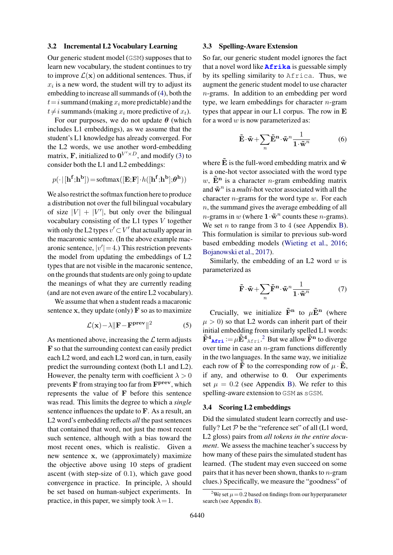#### 3.2 Incremental L2 Vocabulary Learning

Our generic student model (GSM) supposes that to learn new vocabulary, the student continues to try to improve  $\mathcal{L}(\mathbf{x})$  on additional sentences. Thus, if  $x_i$  is a new word, the student will try to adjust its embedding to increase all summands of [\(4\)](#page-1-3), both the  $t = i$  summand (making  $x_i$  more predictable) and the  $t \neq i$  summands (making  $x_i$  more predictive of  $x_t$ ).

For our purposes, we do not update  $\theta$  (which includes L1 embeddings), as we assume that the student's L1 knowledge has already converged. For the L2 words, we use another word-embedding matrix, **F**, initialized to  $0^{V' \times D}$ , and modify [\(3\)](#page-1-4) to consider both the L1 and L2 embeddings:

$$
p(\cdot | [\mathbf{h}^{\mathbf{f}}; \mathbf{h}^{\mathbf{b}}]) = \text{softmax}([\mathbf{E}; \mathbf{F}] \cdot h([\mathbf{h}^{\mathbf{f}}; \mathbf{h}^{\mathbf{b}}]; \boldsymbol{\theta}^{\mathbf{h}}))
$$

We also restrict the softmax function here to produce a distribution not over the full bilingual vocabulary of size  $|V| + |V'|$ , but only over the bilingual vocabulary consisting of the L1 types *V* together with only the L2 types  $v' \subset V'$  that actually appear in the macaronic sentence. (In the above example macaronic sentence,  $|v'| = 4$ .) This restriction prevents the model from updating the embeddings of L2 types that are not visible in the macaronic sentence, on the grounds that students are only going to update the meanings of what they are currently reading (and are not even aware of the entire L2 vocabulary).

We assume that when a student reads a macaronic sentence x, they update (only)  $\bf{F}$  so as to maximize

$$
\mathcal{L}(\mathbf{x}) - \lambda \|\mathbf{F} - \mathbf{F}^{\mathbf{prev}}\|^2 \tag{5}
$$

As mentioned above, increasing the *L* term adjusts F so that the surrounding context can easily predict each L2 word, and each L2 word can, in turn, easily predict the surrounding context (both L1 and L2). However, the penalty term with coefficient  $\lambda > 0$ prevents  $\bf{F}$  from straying too far from  $\bf{F}^{\text{prev}}$ , which represents the value of F before this sentence was read. This limits the degree to which a *single* sentence influences the update to F. As a result, an L2 word's embedding reflects *all* the past sentences that contained that word, not just the most recent such sentence, although with a bias toward the most recent ones, which is realistic. Given a new sentence x, we (approximately) maximize the objective above using 10 steps of gradient ascent (with step-size of 0*.*1), which gave good convergence in practice. In principle,  $\lambda$  should be set based on human-subject experiments. In practice, in this paper, we simply took  $\lambda = 1$ .

## 3.3 Spelling-Aware Extension

So far, our generic student model ignores the fact that a novel word like **Afrika** is guessable simply by its spelling similarity to Africa. Thus, we augment the generic student model to use character *n*-grams. In addition to an embedding per word type, we learn embeddings for character *n*-gram types that appear in our L1 corpus. The row in E for a word *w* is now parameterized as:

$$
\tilde{\mathbf{E}} \cdot \tilde{\mathbf{w}} + \sum_{n} \tilde{\mathbf{E}}^{\mathbf{n}} \cdot \tilde{\mathbf{w}}^{n} \frac{1}{1 \cdot \tilde{\mathbf{w}}^{n}}
$$
(6)

where  $\tilde{E}$  is the full-word embedding matrix and  $\tilde{w}$ is a one-hot vector associated with the word type  $w$ ,  $\tilde{E}^{n}$  is a character *n*-gram embedding matrix and  $\tilde{\mathbf{w}}^n$  is a *multi*-hot vector associated with all the character *n*-grams for the word type *w*. For each *n*, the summand gives the average embedding of all *n*-grams in *w* (where  $1 \cdot \tilde{\mathbf{w}}^n$  counts these *n*-grams). We set *n* to range from 3 to 4 (see Appendix [B\)](#page--1-0). This formulation is similar to previous sub-word based embedding models [\(Wieting et al.,](#page-5-16) [2016;](#page-5-16) [Bojanowski et al.,](#page-5-17) [2017\)](#page-5-17).

Similarly, the embedding of an L2 word *w* is parameterized as

$$
\tilde{\mathbf{F}} \cdot \tilde{\mathbf{w}} + \sum_{n} \tilde{\mathbf{F}}^{\mathbf{n}} \cdot \tilde{\mathbf{w}}^{n} \frac{1}{1 \cdot \tilde{\mathbf{w}}^{n}}
$$
(7)

<span id="page-2-3"></span>Crucially, we initialize  $\tilde{F}^n$  to  $\mu \tilde{E}^n$  (where  $\mu > 0$ ) so that L2 words can inherit part of their initial embedding from similarly spelled L1 words:  $\tilde{F}^4$ <sub>Afri</sub>:  $=$   $\mu \tilde{E}^4$ <sub>Afri</sub>.<sup>[2](#page-2-2)</sup> But we allow  $\tilde{F}^n$  to diverge over time in case an *n*-gram functions differently in the two languages. In the same way, we initialize each row of **F** to the corresponding row of  $\mu \cdot \mathbf{E}$ , if any, and otherwise to 0. Our experiments set  $\mu = 0.2$  (see Appendix [B\)](#page--1-0). We refer to this spelling-aware extension to GSM as sGSM.

# <span id="page-2-1"></span>3.4 Scoring L2 embeddings

Did the simulated student learn correctly and usefully? Let  $P$  be the "reference set" of all (L1 word, L2 gloss) pairs from *all tokens in the entire document*. We assess the machine teacher's success by how many of these pairs the simulated student has learned. (The student may even succeed on some pairs that it has never been shown, thanks to *n*-gram clues.) Specifically, we measure the "goodness" of

<span id="page-2-2"></span><span id="page-2-0"></span><sup>&</sup>lt;sup>2</sup>We set  $\mu$  = 0.2 based on findings from our hyperparameter search (see Appendix [B\)](#page--1-0).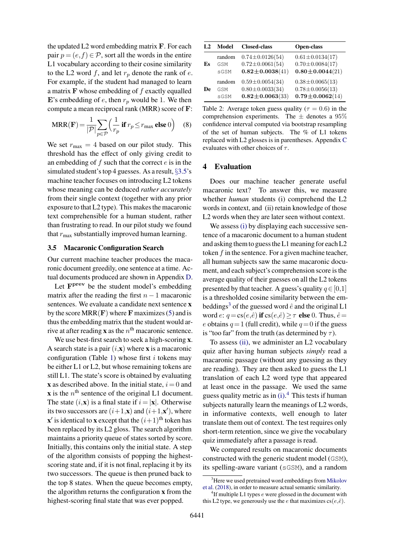the updated L2 word embedding matrix F. For each pair  $p = (e, f) \in \mathcal{P}$ , sort all the words in the entire L1 vocabulary according to their cosine similarity to the L2 word  $f$ , and let  $r_p$  denote the rank of  $e$ . For example, if the student had managed to learn a matrix F whose embedding of *f* exactly equalled E's embedding of  $e$ , then  $r_p$  would be 1. We then compute a mean reciprocal rank (MRR) score of F:

$$
MRR(\mathbf{F}) = \frac{1}{|\mathcal{P}|} \sum_{p \in \mathcal{P}} \left( \frac{1}{r_p} \text{ if } r_p \le r_{\text{max}} \text{ else } 0 \right) \quad (8)
$$

We set  $r_{\text{max}} = 4$  based on our pilot study. This threshold has the effect of only giving credit to an embedding of *f* such that the correct *e* is in the simulated student's top 4 guesses. As a result, *§*[3.5'](#page-3-0)s machine teacher focuses on introducing L2 tokens whose meaning can be deduced *rather accurately* from their single context (together with any prior exposure to that L2 type). This makes the macaronic text comprehensible for a human student, rather than frustrating to read. In our pilot study we found that  $r_{\text{max}}$  substantially improved human learning.

## <span id="page-3-0"></span>3.5 Macaronic Configuration Search

Our current machine teacher produces the macaronic document greedily, one sentence at a time. Actual documents produced are shown in Appendix [D.](#page--1-1)

Let  $\mathbf{F}^{\text{prev}}$  be the student model's embedding matrix after the reading the first  $n-1$  macaronic sentences. We evaluate a candidate next sentence x by the score  $MRR(\mathbf{F})$  where  $\mathbf F$  maximizes [\(5\)](#page-2-3) and is thus the embedding matrix that the student would arrive at after reading **x** as the  $n^{\text{th}}$  macaronic sentence.

We use best-first search to seek a high-scoring **x**. A search state is a pair  $(i, x)$  where x is a macaronic configuration (Table [1\)](#page-1-0) whose first *i* tokens may be either L1 or L2, but whose remaining tokens are still L1. The state's score is obtained by evaluating **x** as described above. In the initial state,  $i = 0$  and  $\bf{x}$  is the  $n^{\text{th}}$  sentence of the original L1 document. The state  $(i, x)$  is a final state if  $i = |x|$ . Otherwise its two successors are  $(i+1,\mathbf{x})$  and  $(i+1,\mathbf{x}')$ , where  $x'$  is identical to x except that the  $(i+1)$ <sup>th</sup> token has been replaced by its L2 gloss. The search algorithm maintains a priority queue of states sorted by score. Initially, this contains only the initial state. A step of the algorithm consists of popping the highestscoring state and, if it is not final, replacing it by its two successors. The queue is then pruned back to the top 8 states. When the queue becomes empty, the algorithm returns the configuration x from the highest-scoring final state that was ever popped.

<span id="page-3-5"></span>

| I.2 | Model  | <b>Closed-class</b>   | <b>Open-class</b>     |  |  |
|-----|--------|-----------------------|-----------------------|--|--|
| Es  | random | $0.74 \pm 0.0126(54)$ | $0.61 \pm 0.0134(17)$ |  |  |
|     | GSM    | $0.72 \pm 0.0061(54)$ | $0.70 \pm 0.0084(17)$ |  |  |
|     | sGSM   | $0.82 \pm 0.0038(41)$ | $0.80 \pm 0.0044(21)$ |  |  |
| De  | random | $0.59 \pm 0.0054(34)$ | $0.38 \pm 0.0065(13)$ |  |  |
|     | GSM    | $0.80 \pm 0.0033(34)$ | $0.78 \pm 0.0056(13)$ |  |  |
|     | sGSM   | $0.82 \pm 0.0063(33)$ | $0.79 \pm 0.0062(14)$ |  |  |

Table 2: Average token guess quality ( $\tau = 0.6$ ) in the comprehension experiments. The  $\pm$  denotes a 95% confidence interval computed via bootstrap resampling of the set of human subjects. The % of L1 tokens replaced with L2 glosses is in parentheses. Appendix [C](#page--1-2) evaluates with other choices of  $\tau$ .

#### 4 Evaluation

<span id="page-3-1"></span>Does our machine teacher generate useful macaronic text? To answer this, we measure whether *human* students (i) comprehend the L2 words in context, and (ii) retain knowledge of those L2 words when they are later seen without context.

<span id="page-3-3"></span>We assess [\(i\)](#page-3-1) by displaying each successive sentence of a macaronic document to a human student and asking them to guess the L1 meaning for each L2 token *f* in the sentence. For a given machine teacher, all human subjects saw the same macaronic document, and each subject's comprehension score is the average quality of their guesses on all the L2 tokens presented by that teacher. A guess's quality  $q \in [0,1]$ is a thresholded cosine similarity between the embeddings<sup>3</sup> of the guessed word  $\hat{e}$  and the original L1 word *e*:  $q = cs(e, \hat{e})$  if  $cs(e, \hat{e}) \geq \tau$  else 0. Thus,  $\hat{e} =$ *e* obtains  $q = 1$  (full credit), while  $q = 0$  if the guess is "too far" from the truth (as determined by  $\tau$ ).

To assess [\(ii\),](#page-3-3) we administer an L2 vocabulary quiz after having human subjects *simply* read a macaronic passage (without any guessing as they are reading). They are then asked to guess the L1 translation of each L2 word type that appeared at least once in the passage. We used the same guess quality metric as in [\(i\).](#page-3-1) [4](#page-3-4) This tests if human subjects naturally learn the meanings of L2 words, in informative contexts, well enough to later translate them out of context. The test requires only short-term retention, since we give the vocabulary quiz immediately after a passage is read.

We compared results on macaronic documents constructed with the generic student model (GSM), its spelling-aware variant (sGSM), and a random

<span id="page-3-2"></span><sup>&</sup>lt;sup>3</sup>Here we used pretrained word embeddings from [Mikolov](#page-5-18) [et al.](#page-5-18) [\(2018\)](#page-5-18), in order to measure actual semantic similarity.

<span id="page-3-4"></span><sup>4</sup> If multiple L1 types *e* were glossed in the document with this L2 type, we generously use the *e* that maximizes  $\text{cs}(e,\hat{e})$ .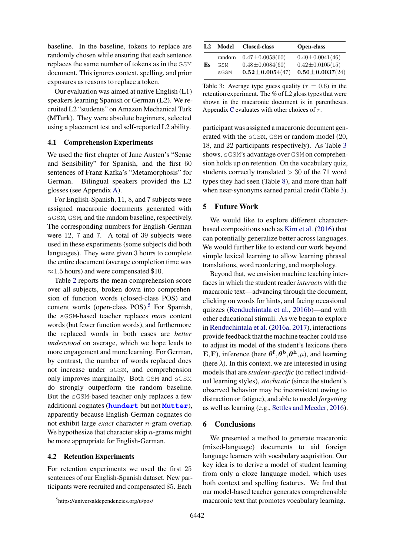baseline. In the baseline, tokens to replace are randomly chosen while ensuring that each sentence replaces the same number of tokens as in the GSM document. This ignores context, spelling, and prior exposures as reasons to replace a token.

Our evaluation was aimed at native English (L1) speakers learning Spanish or German (L2). We recruited L2 "students" on Amazon Mechanical Turk (MTurk). They were absolute beginners, selected using a placement test and self-reported L2 ability.

# 4.1 Comprehension Experiments

We used the first chapter of Jane Austen's "Sense and Sensibility" for Spanish, and the first 60 sentences of Franz Kafka's "Metamorphosis" for German. Bilingual speakers provided the L2 glosses (see Appendix [A\)](#page--1-3).

For English-Spanish, 11, 8, and 7 subjects were assigned macaronic documents generated with sGSM, GSM, and the random baseline, respectively. The corresponding numbers for English-German were 12, 7 and 7. A total of 39 subjects were used in these experiments (some subjects did both languages). They were given 3 hours to complete the entire document (average completion time was  $\approx$  1.5 hours) and were compensated \$10.

Table [2](#page-3-5) reports the mean comprehension score over all subjects, broken down into comprehension of function words (closed-class POS) and content words (open-class  $POS$ ).<sup>5</sup> For Spanish, the sGSM-based teacher replaces *more* content words (but fewer function words), and furthermore the replaced words in both cases are *better understood* on average, which we hope leads to more engagement and more learning. For German, by contrast, the number of words replaced does not increase under sGSM, and comprehension only improves marginally. Both GSM and sGSM do strongly outperform the random baseline. But the sGSM-based teacher only replaces a few additional cognates (**hundert** but not **Mutter**), apparently because English-German cognates do not exhibit large *exact* character *n*-gram overlap. We hypothesize that character skip *n*-grams might be more appropriate for English-German.

## 4.2 Retention Experiments

For retention experiments we used the first 25 sentences of our English-Spanish dataset. New participants were recruited and compensated \$5. Each

<span id="page-4-1"></span>

| L <sub>2</sub> | Model  | <b>Closed-class</b>   | <b>Open-class</b>     |
|----------------|--------|-----------------------|-----------------------|
| Es             | random | $0.47 \pm 0.0058(60)$ | $0.40 \pm 0.0041(46)$ |
|                | GSM    | $0.48 \pm 0.0084(60)$ | $0.42 \pm 0.0105(15)$ |
|                | sGSM   | $0.52 \pm 0.0054(47)$ | $0.50 \pm 0.0037(24)$ |

Table 3: Average type guess quality ( $\tau = 0.6$ ) in the retention experiment. The % of L2 gloss types that were shown in the macaronic document is in parentheses. Appendix [C](#page--1-2) evaluates with other choices of  $\tau$ .

participant was assigned a macaronic document generated with the sGSM, GSM or random model (20, 18, and 22 participants respectively). As Table [3](#page-4-1) shows, sGSM's advantage over GSM on comprehension holds up on retention. On the vocabulary quiz, students correctly translated *>* 30 of the 71 word types they had seen (Table [8\)](#page--1-4), and more than half when near-synonyms earned partial credit (Table [3\)](#page-4-1).

## 5 Future Work

We would like to explore different characterbased compositions such as [Kim et al.](#page-5-19) [\(2016\)](#page-5-19) that can potentially generalize better across languages. We would further like to extend our work beyond simple lexical learning to allow learning phrasal translations, word reordering, and morphology.

Beyond that, we envision machine teaching interfaces in which the student reader *interacts* with the macaronic text—advancing through the document, clicking on words for hints, and facing occasional quizzes [\(Renduchintala et al.,](#page-5-2) [2016b\)](#page-5-2)—and with other educational stimuli. As we began to explore in [Renduchintala et al.](#page-5-3) [\(2016a,](#page-5-3) [2017\)](#page-5-5), interactions provide feedback that the machine teacher could use to adjust its model of the student's lexicons (here **E**, **F**), inference (here  $\theta^f$ ,  $\theta^b$ ,  $\theta^h$ ,  $\mu$ ), and learning (here  $\lambda$ ). In this context, we are interested in using models that are *student-specific* (to reflect individual learning styles), *stochastic* (since the student's observed behavior may be inconsistent owing to distraction or fatigue), and able to model *forgetting* as well as learning (e.g., [Settles and Meeder,](#page-5-20) [2016\)](#page-5-20).

#### 6 Conclusions

We presented a method to generate macaronic (mixed-language) documents to aid foreign language learners with vocabulary acquisition. Our key idea is to derive a model of student learning from only a cloze language model, which uses both context and spelling features. We find that our model-based teacher generates comprehensible macaronic text that promotes vocabulary learning.

<span id="page-4-0"></span><sup>5</sup> https://universaldependencies.org/u/pos/